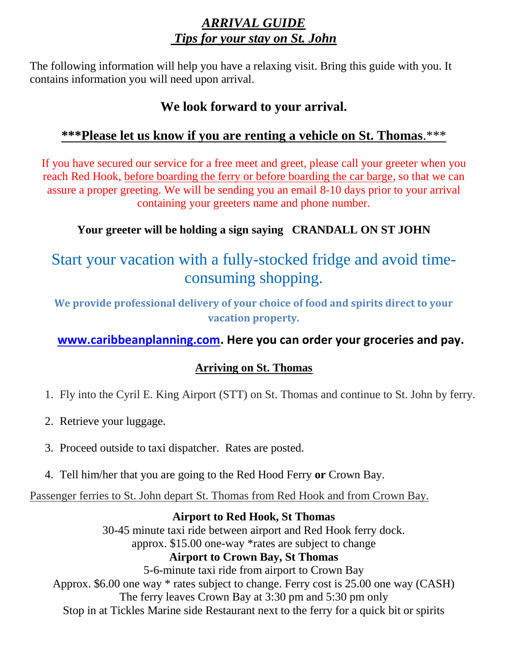## *ARRIVAL GUIDE Tips for your stay on St. John*

The following information will help you have a relaxing visit. Bring this guide with you. It contains information you will need upon arrival.

## **We look forward to your arrival.**

## **\*\*\*Please let us know if you are renting a vehicle on St. Thomas**.\*\*\*

If you have secured our service for a free meet and greet, please call your greeter when you reach Red Hook, before boarding the ferry or before boarding the car barge, so that we can assure a proper greeting. We will be sending you an email 8-10 days prior to your arrival containing your greeters name and phone number.

### **Your greeter will be holding a sign saying CRANDALL ON ST JOHN**

# Start your vacation with a fully-stocked fridge and avoid timeconsuming shopping.

**We provide professional delivery of your choice of food and spirits direct to your vacation property.**

### **[www.caribbeanplanning.com.](http://www.caribbeanplanning.com/) Here you can order your groceries and pay.**

### **Arriving on St. Thomas**

- 1. Fly into the Cyril E. King Airport (STT) on St. Thomas and continue to St. John by ferry.
- 2. Retrieve your luggage.
- 3. Proceed outside to taxi dispatcher. Rates are posted.
- 4. Tell him/her that you are going to the Red Hood Ferry **or** Crown Bay.

Passenger ferries to St. John depart St. Thomas from Red Hook and from Crown Bay.

### **Airport to Red Hook, St Thomas**

30-45 minute taxi ride between airport and Red Hook ferry dock. approx. \$15.00 one-way \*rates are subject to change **Airport to Crown Bay, St Thomas** 5-6-minute taxi ride from airport to Crown Bay Approx. \$6.00 one way \* rates subject to change. Ferry cost is 25.00 one way (CASH) The ferry leaves Crown Bay at 3:30 pm and 5:30 pm only

Stop in at Tickles Marine side Restaurant next to the ferry for a quick bit or spirits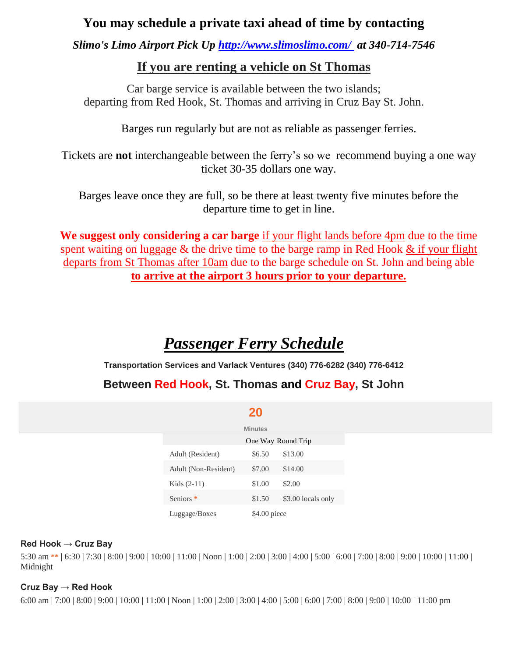### **You may schedule a private taxi ahead of time by contacting**

*Slimo's Limo Airport Pick Up<http://www.slimoslimo.com/>at 340-714-7546*

### **If you are renting a vehicle on St Thomas**

Car barge service is available between the two islands; departing from Red Hook, St. Thomas and arriving in Cruz Bay St. John.

Barges run regularly but are not as reliable as passenger ferries.

Tickets are **not** interchangeable between the ferry's so we recommend buying a one way ticket 30-35 dollars one way.

Barges leave once they are full, so be there at least twenty five minutes before the departure time to get in line.

**We suggest only considering a car barge** if your flight lands before 4pm due to the time spent waiting on luggage & the drive time to the barge ramp in Red Hook & if your flight departs from St Thomas after 10am due to the barge schedule on St. John and being able **to arrive at the airport 3 hours prior to your departure.**

# *Passenger Ferry Schedule*

**Transportation Services and Varlack Ventures (340) 776-6282 (340) 776-6412**

### **Between Red Hook, St. Thomas and Cruz Bay, St John**

| <b>Service Service</b> |  |
|------------------------|--|
|                        |  |

|                      | <b>Minutes</b>     |                    |
|----------------------|--------------------|--------------------|
|                      | One Way Round Trip |                    |
| Adult (Resident)     | \$6.50             | \$13.00            |
| Adult (Non-Resident) | \$7.00             | \$14.00            |
| Kids $(2-11)$        | \$1.00             | \$2.00             |
| Seniors <sup>*</sup> | \$1.50             | \$3.00 locals only |
| Luggage/Boxes        | \$4.00 piece       |                    |

#### **Red Hook → Cruz Bay**

5:30 am **\*\*** | 6:30 | 7:30 | 8:00 | 9:00 | 10:00 | 11:00 | Noon | 1:00 | 2:00 | 3:00 | 4:00 | 5:00 | 6:00 | 7:00 | 8:00 | 9:00 | 10:00 | 11:00 | Midnight

#### **Cruz Bay → Red Hook**

6:00 am | 7:00 | 8:00 | 9:00 | 10:00 | 11:00 | Noon | 1:00 | 2:00 | 3:00 | 4:00 | 5:00 | 6:00 | 7:00 | 8:00 | 9:00 | 10:00 | 11:00 pm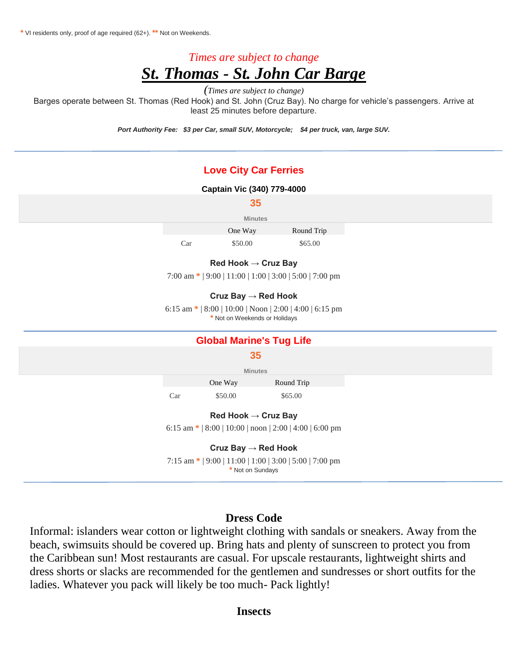**\*** VI residents only, proof of age required (62+). **\*\*** Not on Weekends.

## *Times are subject to change St. Thomas - St. John Car Barge*

*(Times are subject to change)*

Barges operate between St. Thomas (Red Hook) and St. John (Cruz Bay). No charge for vehicle's passengers. Arrive at least 25 minutes before departure.

*Port Authority Fee: \$3 per Car, small SUV, Motorcycle; \$4 per truck, van, large SUV.*

#### **Love City Car Ferries**

#### **Captain Vic (340) 779-4000**

|     | 35                              |                                                           |  |
|-----|---------------------------------|-----------------------------------------------------------|--|
|     | <b>Minutes</b>                  |                                                           |  |
|     | One Way                         | Round Trip                                                |  |
| Car | \$50.00                         | \$65.00                                                   |  |
|     | Red Hook $\rightarrow$ Cruz Bay |                                                           |  |
|     |                                 | 7:00 am $*$   9:00   11:00   1:00   3:00   5:00   7:00 pm |  |
|     | Cruz Bay $\rightarrow$ Red Hook |                                                           |  |
|     | * Not on Weekends or Holidays   | 6:15 am $*$   8:00   10:00   Noon   2:00   4:00   6:15 pm |  |
|     | <b>Global Marine's Tug Life</b> |                                                           |  |
|     | 35                              |                                                           |  |
|     | <b>Minutes</b>                  |                                                           |  |
|     | One Way                         | Round Trip                                                |  |
| Car | \$50.00                         | \$65.00                                                   |  |
|     | Red Hook $\rightarrow$ Cruz Bay |                                                           |  |
|     |                                 | 6:15 am $*$   8:00   10:00   noon   2:00   4:00   6:00 pm |  |
|     | Cruz Bay $\rightarrow$ Red Hook |                                                           |  |
|     |                                 | 7:15 am *   9:00   11:00   1:00   3:00   5:00   7:00 pm   |  |

**\*** Not on Sundays

#### **Dress Code**

Informal: islanders wear cotton or lightweight clothing with sandals or sneakers. Away from the beach, swimsuits should be covered up. Bring hats and plenty of sunscreen to protect you from the Caribbean sun! Most restaurants are casual. For upscale restaurants, lightweight shirts and dress shorts or slacks are recommended for the gentlemen and sundresses or short outfits for the ladies. Whatever you pack will likely be too much- Pack lightly!

#### **Insects**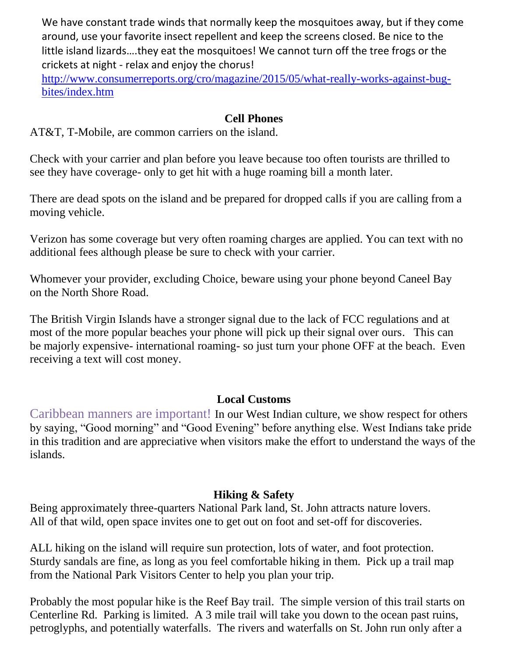We have constant trade winds that normally keep the mosquitoes away, but if they come around, use your favorite insect repellent and keep the screens closed. Be nice to the little island lizards….they eat the mosquitoes! We cannot turn off the tree frogs or the crickets at night - relax and enjoy the chorus!

[http://www.consumerreports.org/cro/magazine/2015/05/what-really-works-against-bug](http://www.consumerreports.org/cro/magazine/2015/05/what-really-works-against-bug-bites/index.htm)[bites/index.htm](http://www.consumerreports.org/cro/magazine/2015/05/what-really-works-against-bug-bites/index.htm)

#### **Cell Phones**

AT&T, T-Mobile, are common carriers on the island.

Check with your carrier and plan before you leave because too often tourists are thrilled to see they have coverage- only to get hit with a huge roaming bill a month later.

There are dead spots on the island and be prepared for dropped calls if you are calling from a moving vehicle.

Verizon has some coverage but very often roaming charges are applied. You can text with no additional fees although please be sure to check with your carrier.

Whomever your provider, excluding Choice, beware using your phone beyond Caneel Bay on the North Shore Road.

The British Virgin Islands have a stronger signal due to the lack of FCC regulations and at most of the more popular beaches your phone will pick up their signal over ours. This can be majorly expensive- international roaming- so just turn your phone OFF at the beach. Even receiving a text will cost money.

### **Local Customs**

Caribbean manners are important! In our West Indian culture, we show respect for others by saying, "Good morning" and "Good Evening" before anything else. West Indians take pride in this tradition and are appreciative when visitors make the effort to understand the ways of the islands.

### **Hiking & Safety**

Being approximately three-quarters National Park land, St. John attracts nature lovers. All of that wild, open space invites one to get out on foot and set-off for discoveries.

ALL hiking on the island will require sun protection, lots of water, and foot protection. Sturdy sandals are fine, as long as you feel comfortable hiking in them. Pick up a trail map from the National Park Visitors Center to help you plan your trip.

Probably the most popular hike is the Reef Bay trail. The simple version of this trail starts on Centerline Rd. Parking is limited. A 3 mile trail will take you down to the ocean past ruins, petroglyphs, and potentially waterfalls. The rivers and waterfalls on St. John run only after a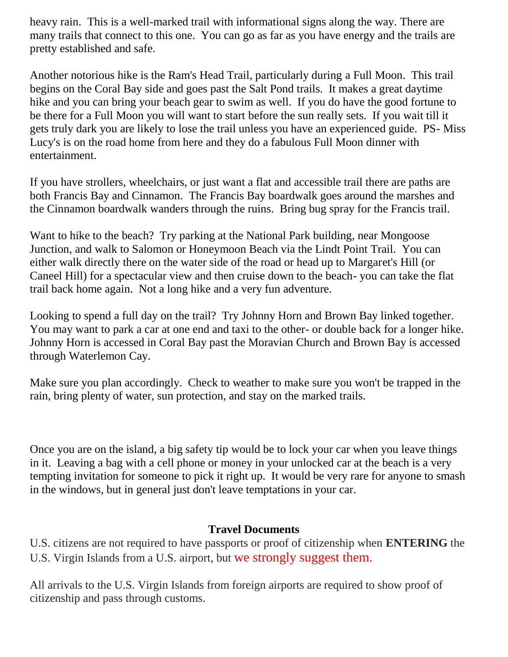heavy rain. This is a well-marked trail with informational signs along the way. There are many trails that connect to this one. You can go as far as you have energy and the trails are pretty established and safe.

Another notorious hike is the Ram's Head Trail, particularly during a Full Moon. This trail begins on the Coral Bay side and goes past the Salt Pond trails. It makes a great daytime hike and you can bring your beach gear to swim as well. If you do have the good fortune to be there for a Full Moon you will want to start before the sun really sets. If you wait till it gets truly dark you are likely to lose the trail unless you have an experienced guide. PS- Miss Lucy's is on the road home from here and they do a fabulous Full Moon dinner with entertainment.

If you have strollers, wheelchairs, or just want a flat and accessible trail there are paths are both Francis Bay and Cinnamon. The Francis Bay boardwalk goes around the marshes and the Cinnamon boardwalk wanders through the ruins. Bring bug spray for the Francis trail.

Want to hike to the beach? Try parking at the National Park building, near Mongoose Junction, and walk to Salomon or Honeymoon Beach via the Lindt Point Trail. You can either walk directly there on the water side of the road or head up to Margaret's Hill (or Caneel Hill) for a spectacular view and then cruise down to the beach- you can take the flat trail back home again. Not a long hike and a very fun adventure.

Looking to spend a full day on the trail? Try Johnny Horn and Brown Bay linked together. You may want to park a car at one end and taxi to the other- or double back for a longer hike. Johnny Horn is accessed in Coral Bay past the Moravian Church and Brown Bay is accessed through Waterlemon Cay.

Make sure you plan accordingly. Check to weather to make sure you won't be trapped in the rain, bring plenty of water, sun protection, and stay on the marked trails.

Once you are on the island, a big safety tip would be to lock your car when you leave things in it. Leaving a bag with a cell phone or money in your unlocked car at the beach is a very tempting invitation for someone to pick it right up. It would be very rare for anyone to smash in the windows, but in general just don't leave temptations in your car.

#### **Travel Documents**

U.S. citizens are not required to have passports or proof of citizenship when **ENTERING** the U.S. Virgin Islands from a U.S. airport, but we strongly suggest them.

All arrivals to the U.S. Virgin Islands from foreign airports are required to show proof of citizenship and pass through customs.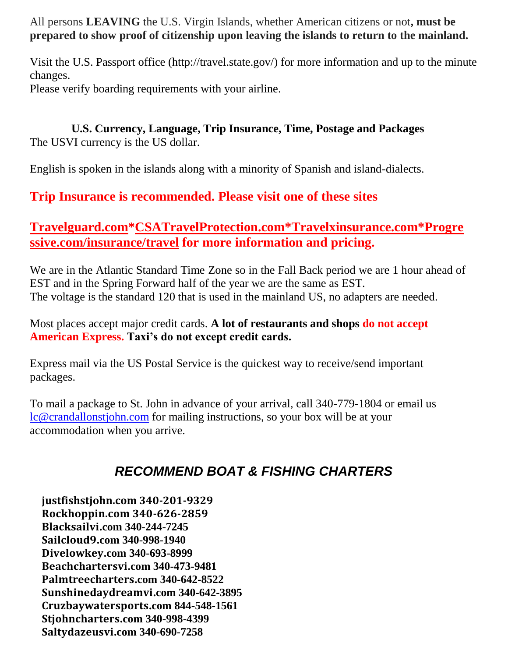All persons **LEAVING** the U.S. Virgin Islands, whether American citizens or not**, must be prepared to show proof of citizenship upon leaving the islands to return to the mainland.**

Visit the U.S. Passport office (http://travel.state.gov/) for more information and up to the minute changes.

Please verify boarding requirements with your airline.

#### **U.S. Currency, Language, Trip Insurance, Time, Postage and Packages** The USVI currency is the US dollar.

English is spoken in the islands along with a minority of Spanish and island-dialects.

## **Trip Insurance is recommended. Please visit one of these sites**

## **[Travelguard.com](http://travelguard.com/)[\\*CSATravelProtection.com\\*](https://www.csatravelprotection.com/)Travelxinsurance.com\*Progre ssive.com/insurance/travel for more information and pricing.**

We are in the Atlantic Standard Time Zone so in the Fall Back period we are 1 hour ahead of EST and in the Spring Forward half of the year we are the same as EST. The voltage is the standard 120 that is used in the mainland US, no adapters are needed.

Most places accept major credit cards. **A lot of restaurants and shops do not accept American Express. Taxi's do not except credit cards.**

Express mail via the US Postal Service is the quickest way to receive/send important packages.

To mail a package to St. John in advance of your arrival, call 340-779-1804 or email us [lc@crandallonstjohn.com](mailto:lc@crandallonstjohn.com) for mailing instructions, so your box will be at your accommodation when you arrive.

# *RECOMMEND BOAT & FISHING CHARTERS*

**justfishstjohn.com 340-201-9329 Rockhoppin.com 340-626-2859 Blacksailvi.com 340-244-7245 Sailcloud9.com 340-998-1940 Divelowkey.com 340-693-8999 Beachchartersvi.com 340-473-9481 Palmtreecharters.com 340-642-8522 Sunshinedaydreamvi.com 340-642-3895 Cruzbaywatersports.com 844-548-1561 Stjohncharters.com 340-998-4399 Saltydazeusvi.com 340-690-7258**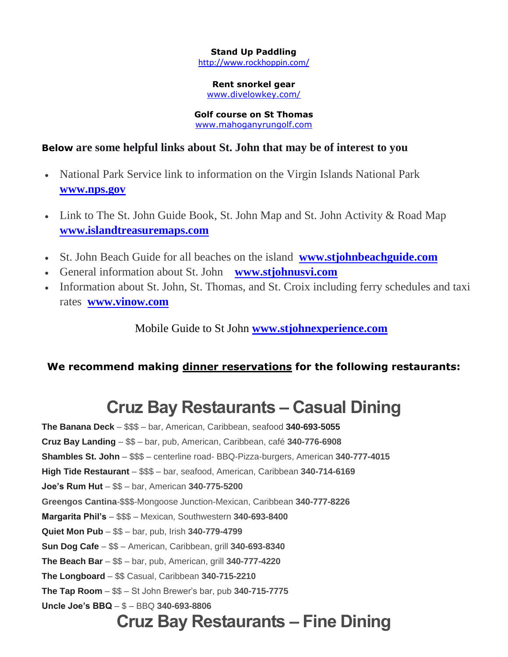### **Stand Up Paddling**

<http://www.rockhoppin.com/>

#### **Rent snorkel gear**

[www.divelowkey.com/](http://www.divelowkey.com/)

#### **Golf course on St Thomas** [www.mahoganyrungolf.com](http://www.mahoganyrungolf.com/)

#### **Below are some helpful links about St. John that may be of interest to you**

- National Park Service link to information on the Virgin Islands National Park **[www.nps.gov](http://www.nps.gov/viis)**
- Link to The St. John Guide Book, St. John Map and St. John Activity & Road Map **[www.islandtreasuremaps.com](http://islandtreasuremaps.com/)**
- St. John Beach Guide for all beaches on the island **[www.stjohnbeachguide.com](http://stjohnbeachguide.com/)**
- General information about St. John **[www.stjohnusvi.com](http://www.stjohnusvi.com/)**
- Information about St. John, St. Thomas, and St. Croix including ferry schedules and taxi rates **[www.vinow.com](http://www.vinow.com/)**

Mobile Guide to St John **[www.stjohnexperience.com](file:///C:/Users/info/Desktop/www.stjohnexperience.com)**

### **We recommend making dinner reservations for the following restaurants:**

# **Cruz Bay Restaurants – Casual Dining**

**The Banana Deck** – \$\$\$ – bar, American, Caribbean, seafood **340-693-5055 Cruz Bay Landing** – \$\$ – bar, pub, American, Caribbean, café **340-776-6908 Shambles St. John** – \$\$\$ – centerline road- BBQ-Pizza-burgers, American **340-777-4015 High Tide Restaurant** – \$\$\$ – bar, seafood, American, Caribbean **340-714-6169 Joe's Rum Hut** – \$\$ – bar, American **340-775-5200 Greengos Cantina**-\$\$\$-Mongoose Junction-Mexican, Caribbean **340-777-8226 Margarita Phil's** – \$\$\$ – Mexican, Southwestern **340-693-8400 Quiet Mon Pub** – \$\$ – bar, pub, Irish **340-779-4799 Sun Dog Cafe** – \$\$ – American, Caribbean, grill **340-693-8340 The Beach Bar** – \$\$ – bar, pub, American, grill **340-777-4220 The Longboard** – \$\$ Casual, Caribbean **340-715-2210 The Tap Room** – \$\$ – St John Brewer's bar, pub **340-715-7775 Uncle Joe's BBQ** – \$ – BBQ **340-693-8806**

# **Cruz Bay Restaurants – Fine Dining**